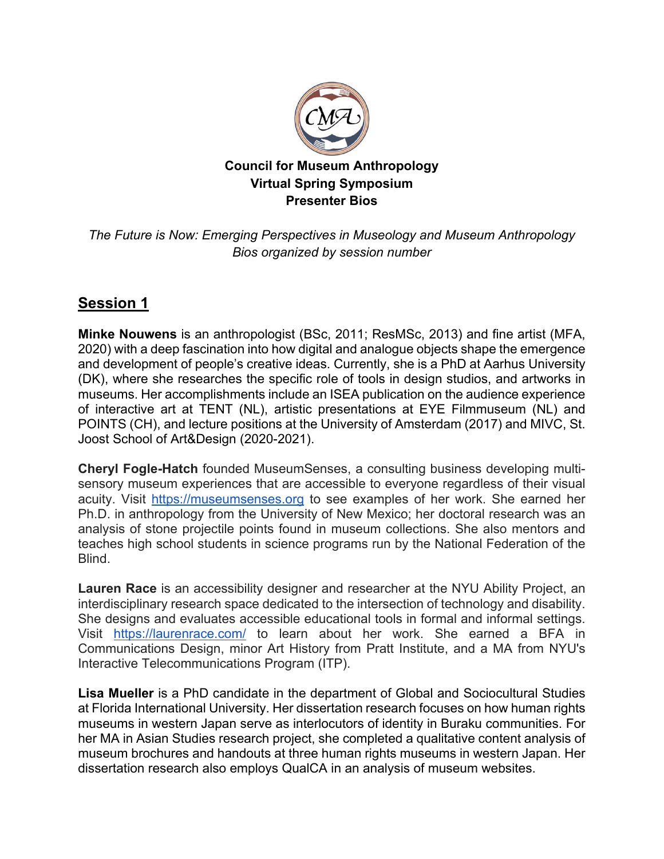

#### **Council for Museum Anthropology Virtual Spring Symposium Presenter Bios**

*The Future is Now: Emerging Perspectives in Museology and Museum Anthropology Bios organized by session number*

# **Session 1**

**Minke Nouwens** is an anthropologist (BSc, 2011; ResMSc, 2013) and fine artist (MFA, 2020) with a deep fascination into how digital and analogue objects shape the emergence and development of people's creative ideas. Currently, she is a PhD at Aarhus University (DK), where she researches the specific role of tools in design studios, and artworks in museums. Her accomplishments include an ISEA publication on the audience experience of interactive art at TENT (NL), artistic presentations at EYE Filmmuseum (NL) and POINTS (CH), and lecture positions at the University of Amsterdam (2017) and MIVC, St. Joost School of Art&Design (2020-2021).

**Cheryl Fogle-Hatch** founded MuseumSenses, a consulting business developing multisensory museum experiences that are accessible to everyone regardless of their visual acuity. Visit [https://museumsenses.org](https://museumsenses.org/) to see examples of her work. She earned her Ph.D. in anthropology from the University of New Mexico; her doctoral research was an analysis of stone projectile points found in museum collections. She also mentors and teaches high school students in science programs run by the National Federation of the **Blind.** 

**Lauren Race** is an accessibility designer and researcher at the NYU Ability Project, an interdisciplinary research space dedicated to the intersection of technology and disability. She designs and evaluates accessible educational tools in formal and informal settings. Visit <https://laurenrace.com/> to learn about her work. She earned a BFA in Communications Design, minor Art History from Pratt Institute, and a MA from NYU's Interactive Telecommunications Program (ITP).

**Lisa Mueller** is a PhD candidate in the department of Global and Sociocultural Studies at Florida International University. Her dissertation research focuses on how human rights museums in western Japan serve as interlocutors of identity in Buraku communities. For her MA in Asian Studies research project, she completed a qualitative content analysis of museum brochures and handouts at three human rights museums in western Japan. Her dissertation research also employs QualCA in an analysis of museum websites.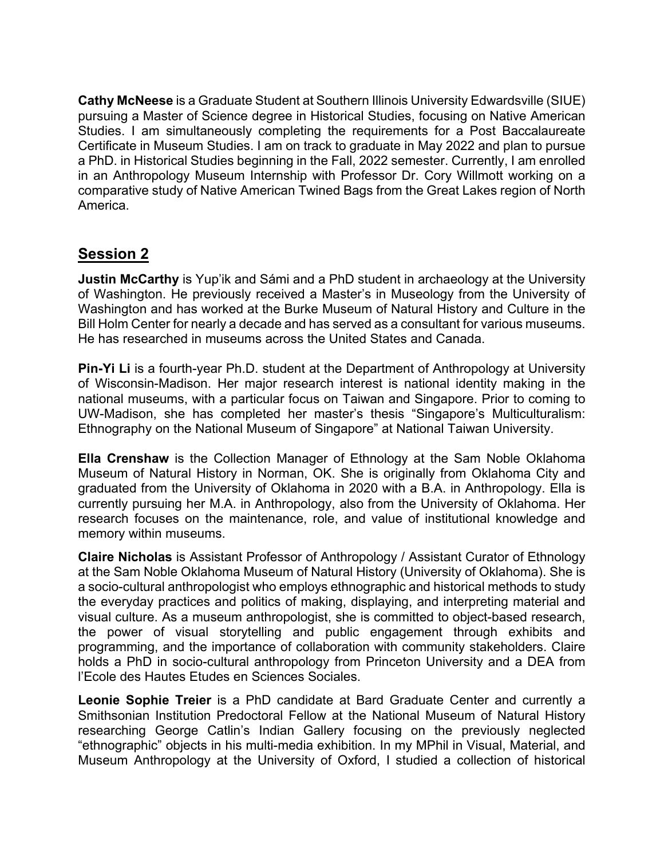**Cathy McNeese** is a Graduate Student at Southern Illinois University Edwardsville (SIUE) pursuing a Master of Science degree in Historical Studies, focusing on Native American Studies. I am simultaneously completing the requirements for a Post Baccalaureate Certificate in Museum Studies. I am on track to graduate in May 2022 and plan to pursue a PhD. in Historical Studies beginning in the Fall, 2022 semester. Currently, I am enrolled in an Anthropology Museum Internship with Professor Dr. Cory Willmott working on a comparative study of Native American Twined Bags from the Great Lakes region of North America.

## **Session 2**

**Justin McCarthy** is Yup'ik and Sámi and a PhD student in archaeology at the University of Washington. He previously received a Master's in Museology from the University of Washington and has worked at the Burke Museum of Natural History and Culture in the Bill Holm Center for nearly a decade and has served as a consultant for various museums. He has researched in museums across the United States and Canada.

**Pin-Yi Li** is a fourth-year Ph.D. student at the Department of Anthropology at University of Wisconsin-Madison. Her major research interest is national identity making in the national museums, with a particular focus on Taiwan and Singapore. Prior to coming to UW-Madison, she has completed her master's thesis "Singapore's Multiculturalism: Ethnography on the National Museum of Singapore" at National Taiwan University.

**Ella Crenshaw** is the Collection Manager of Ethnology at the Sam Noble Oklahoma Museum of Natural History in Norman, OK. She is originally from Oklahoma City and graduated from the University of Oklahoma in 2020 with a B.A. in Anthropology. Ella is currently pursuing her M.A. in Anthropology, also from the University of Oklahoma. Her research focuses on the maintenance, role, and value of institutional knowledge and memory within museums.

**Claire Nicholas** is Assistant Professor of Anthropology / Assistant Curator of Ethnology at the Sam Noble Oklahoma Museum of Natural History (University of Oklahoma). She is a socio-cultural anthropologist who employs ethnographic and historical methods to study the everyday practices and politics of making, displaying, and interpreting material and visual culture. As a museum anthropologist, she is committed to object-based research, the power of visual storytelling and public engagement through exhibits and programming, and the importance of collaboration with community stakeholders. Claire holds a PhD in socio-cultural anthropology from Princeton University and a DEA from l'Ecole des Hautes Etudes en Sciences Sociales.

**Leonie Sophie Treier** is a PhD candidate at Bard Graduate Center and currently a Smithsonian Institution Predoctoral Fellow at the National Museum of Natural History researching George Catlin's Indian Gallery focusing on the previously neglected "ethnographic" objects in his multi-media exhibition. In my MPhil in Visual, Material, and Museum Anthropology at the University of Oxford, I studied a collection of historical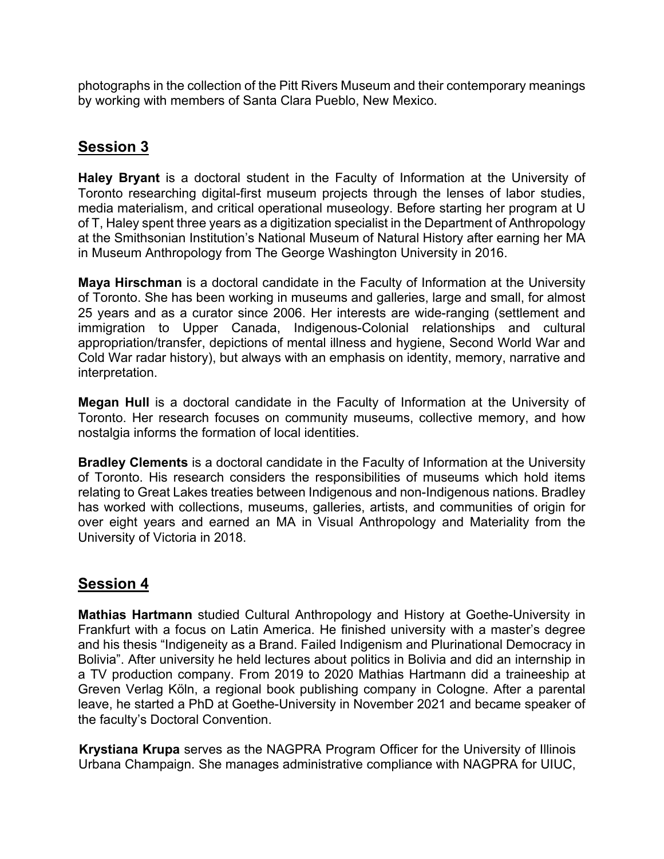photographs in the collection of the Pitt Rivers Museum and their contemporary meanings by working with members of Santa Clara Pueblo, New Mexico.

## **Session 3**

**Haley Bryant** is a doctoral student in the Faculty of Information at the University of Toronto researching digital-first museum projects through the lenses of labor studies, media materialism, and critical operational museology. Before starting her program at U of T, Haley spent three years as a digitization specialist in the Department of Anthropology at the Smithsonian Institution's National Museum of Natural History after earning her MA in Museum Anthropology from The George Washington University in 2016.

**Maya Hirschman** is a doctoral candidate in the Faculty of Information at the University of Toronto. She has been working in museums and galleries, large and small, for almost 25 years and as a curator since 2006. Her interests are wide-ranging (settlement and immigration to Upper Canada, Indigenous-Colonial relationships and cultural appropriation/transfer, depictions of mental illness and hygiene, Second World War and Cold War radar history), but always with an emphasis on identity, memory, narrative and interpretation.

**Megan Hull** is a doctoral candidate in the Faculty of Information at the University of Toronto. Her research focuses on community museums, collective memory, and how nostalgia informs the formation of local identities.

**Bradley Clements** is a doctoral candidate in the Faculty of Information at the University of Toronto. His research considers the responsibilities of museums which hold items relating to Great Lakes treaties between Indigenous and non-Indigenous nations. Bradley has worked with collections, museums, galleries, artists, and communities of origin for over eight years and earned an MA in Visual Anthropology and Materiality from the University of Victoria in 2018.

## **Session 4**

**Mathias Hartmann** studied Cultural Anthropology and History at Goethe-University in Frankfurt with a focus on Latin America. He finished university with a master's degree and his thesis "Indigeneity as a Brand. Failed Indigenism and Plurinational Democracy in Bolivia". After university he held lectures about politics in Bolivia and did an internship in a TV production company. From 2019 to 2020 Mathias Hartmann did a traineeship at Greven Verlag Köln, a regional book publishing company in Cologne. After a parental leave, he started a PhD at Goethe-University in November 2021 and became speaker of the faculty's Doctoral Convention.

**Krystiana Krupa** serves as the NAGPRA Program Officer for the University of Illinois Urbana Champaign. She manages administrative compliance with NAGPRA for UIUC,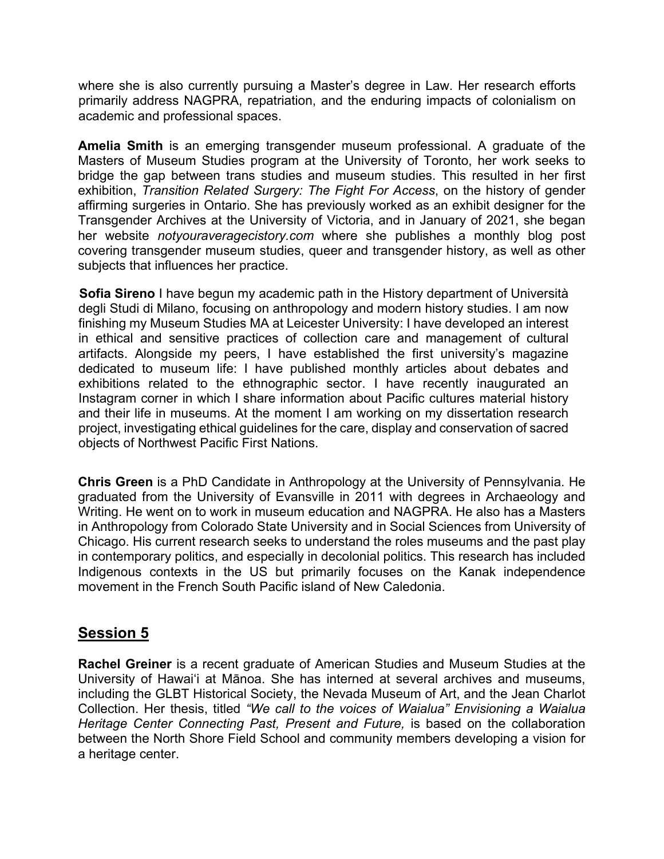where she is also currently pursuing a Master's degree in Law. Her research efforts primarily address NAGPRA, repatriation, and the enduring impacts of colonialism on academic and professional spaces.

**Amelia Smith** is an emerging transgender museum professional. A graduate of the Masters of Museum Studies program at the University of Toronto, her work seeks to bridge the gap between trans studies and museum studies. This resulted in her first exhibition, *Transition Related Surgery: The Fight For Access*, on the history of gender affirming surgeries in Ontario. She has previously worked as an exhibit designer for the Transgender Archives at the University of Victoria, and in January of 2021, she began her website *notyouraveragecistory.com* where she publishes a monthly blog post covering transgender museum studies, queer and transgender history, as well as other subjects that influences her practice.

**Sofia Sireno** I have begun my academic path in the History department of Università degli Studi di Milano, focusing on anthropology and modern history studies. I am now finishing my Museum Studies MA at Leicester University: I have developed an interest in ethical and sensitive practices of collection care and management of cultural artifacts. Alongside my peers, I have established the first university's magazine dedicated to museum life: I have published monthly articles about debates and exhibitions related to the ethnographic sector. I have recently inaugurated an Instagram corner in which I share information about Pacific cultures material history and their life in museums. At the moment I am working on my dissertation research project, investigating ethical guidelines for the care, display and conservation of sacred objects of Northwest Pacific First Nations.

**Chris Green** is a PhD Candidate in Anthropology at the University of Pennsylvania. He graduated from the University of Evansville in 2011 with degrees in Archaeology and Writing. He went on to work in museum education and NAGPRA. He also has a Masters in Anthropology from Colorado State University and in Social Sciences from University of Chicago. His current research seeks to understand the roles museums and the past play in contemporary politics, and especially in decolonial politics. This research has included Indigenous contexts in the US but primarily focuses on the Kanak independence movement in the French South Pacific island of New Caledonia.

#### **Session 5**

**Rachel Greiner** is a recent graduate of American Studies and Museum Studies at the University of Hawaiʻi at Mānoa. She has interned at several archives and museums, including the GLBT Historical Society, the Nevada Museum of Art, and the Jean Charlot Collection. Her thesis, titled *"We call to the voices of Waialua" Envisioning a Waialua Heritage Center Connecting Past, Present and Future,* is based on the collaboration between the North Shore Field School and community members developing a vision for a heritage center.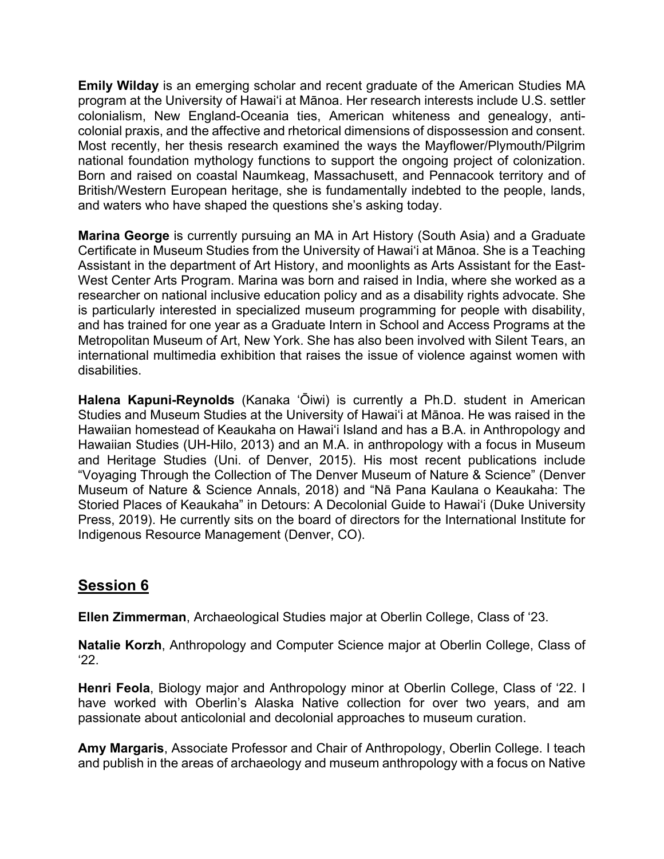**Emily Wilday** is an emerging scholar and recent graduate of the American Studies MA program at the University of Hawai'i at Mānoa. Her research interests include U.S. settler colonialism, New England-Oceania ties, American whiteness and genealogy, anticolonial praxis, and the affective and rhetorical dimensions of dispossession and consent. Most recently, her thesis research examined the ways the Mayflower/Plymouth/Pilgrim national foundation mythology functions to support the ongoing project of colonization. Born and raised on coastal Naumkeag, Massachusett, and Pennacook territory and of British/Western European heritage, she is fundamentally indebted to the people, lands, and waters who have shaped the questions she's asking today.

**Marina George** is currently pursuing an MA in Art History (South Asia) and a Graduate Certificate in Museum Studies from the University of Hawai'i at Mānoa. She is a Teaching Assistant in the department of Art History, and moonlights as Arts Assistant for the East-West Center Arts Program. Marina was born and raised in India, where she worked as a researcher on national inclusive education policy and as a disability rights advocate. She is particularly interested in specialized museum programming for people with disability, and has trained for one year as a Graduate Intern in School and Access Programs at the Metropolitan Museum of Art, New York. She has also been involved with Silent Tears, an international multimedia exhibition that raises the issue of violence against women with disabilities.

**Halena Kapuni-Reynolds** (Kanaka ʻŌiwi) is currently a Ph.D. student in American Studies and Museum Studies at the University of Hawaiʻi at Mānoa. He was raised in the Hawaiian homestead of Keaukaha on Hawaiʻi Island and has a B.A. in Anthropology and Hawaiian Studies (UH-Hilo, 2013) and an M.A. in anthropology with a focus in Museum and Heritage Studies (Uni. of Denver, 2015). His most recent publications include "Voyaging Through the Collection of The Denver Museum of Nature & Science" (Denver Museum of Nature & Science Annals, 2018) and "Nā Pana Kaulana o Keaukaha: The Storied Places of Keaukaha" in Detours: A Decolonial Guide to Hawaiʻi (Duke University Press, 2019). He currently sits on the board of directors for the International Institute for Indigenous Resource Management (Denver, CO).

## **Session 6**

**Ellen Zimmerman**, Archaeological Studies major at Oberlin College, Class of '23.

**Natalie Korzh**, Anthropology and Computer Science major at Oberlin College, Class of '22.

**Henri Feola**, Biology major and Anthropology minor at Oberlin College, Class of '22. I have worked with Oberlin's Alaska Native collection for over two years, and am passionate about anticolonial and decolonial approaches to museum curation.

**Amy Margaris**, Associate Professor and Chair of Anthropology, Oberlin College. I teach and publish in the areas of archaeology and museum anthropology with a focus on Native